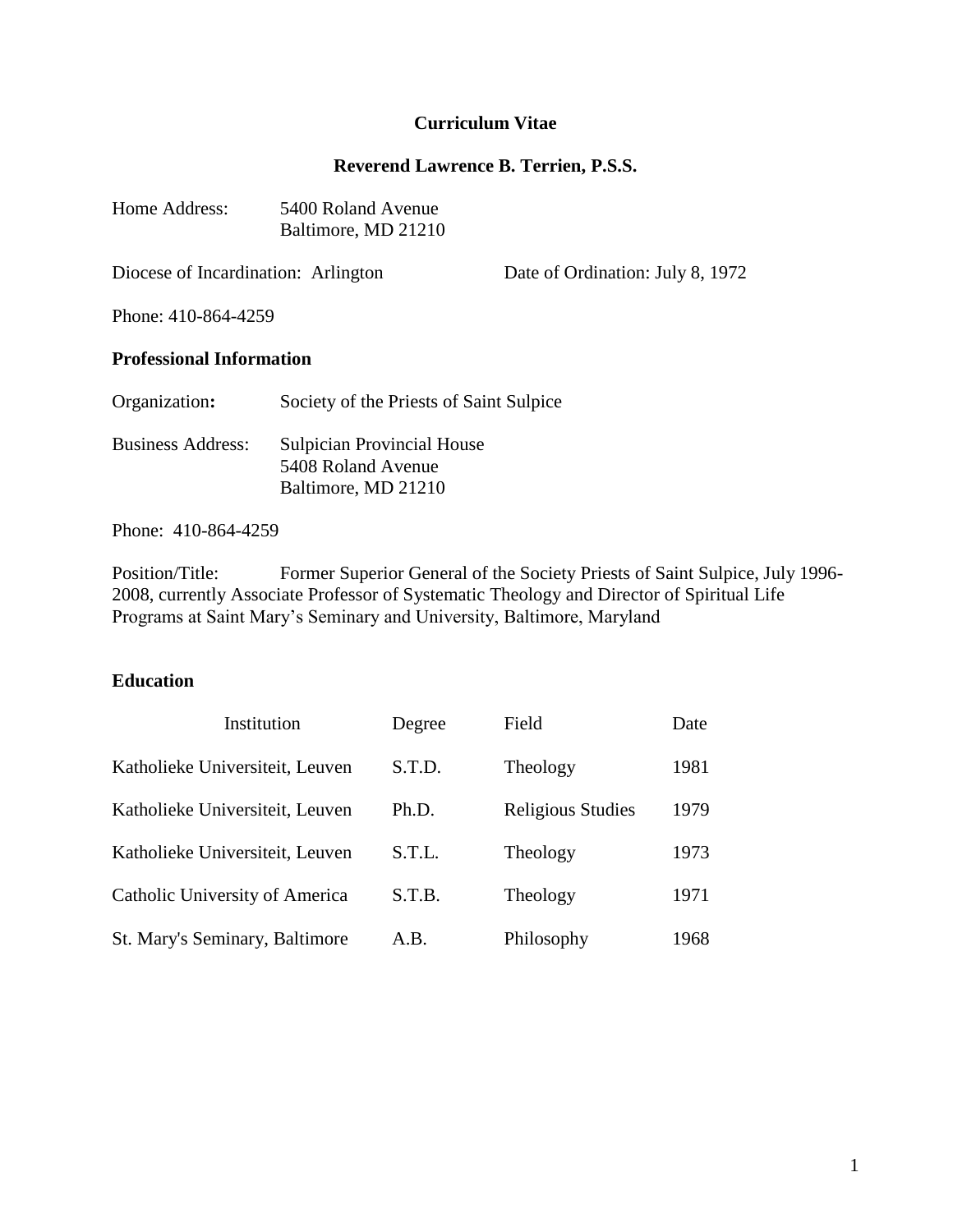# **Curriculum Vitae**

#### **Reverend Lawrence B. Terrien, P.S.S.**

| Home Address: | 5400 Roland Avenue  |  |
|---------------|---------------------|--|
|               | Baltimore, MD 21210 |  |

Diocese of Incardination: Arlington Date of Ordination: July 8, 1972

Phone: 410-864-4259

#### **Professional Information**

| Organization:            | Society of the Priests of Saint Sulpice                                        |
|--------------------------|--------------------------------------------------------------------------------|
| <b>Business Address:</b> | <b>Sulpician Provincial House</b><br>5408 Roland Avenue<br>Baltimore, MD 21210 |

Phone: 410-864-4259

Position/Title: Former Superior General of the Society Priests of Saint Sulpice, July 1996- 2008, currently Associate Professor of Systematic Theology and Director of Spiritual Life Programs at Saint Mary's Seminary and University, Baltimore, Maryland

## **Education**

| Institution                     | Degree | Field             | Date |
|---------------------------------|--------|-------------------|------|
| Katholieke Universiteit, Leuven | S.T.D. | Theology          | 1981 |
| Katholieke Universiteit, Leuven | Ph.D.  | Religious Studies | 1979 |
| Katholieke Universiteit, Leuven | S.T.L. | Theology          | 1973 |
| Catholic University of America  | S.T.B. | Theology          | 1971 |
| St. Mary's Seminary, Baltimore  | A.B.   | Philosophy        | 1968 |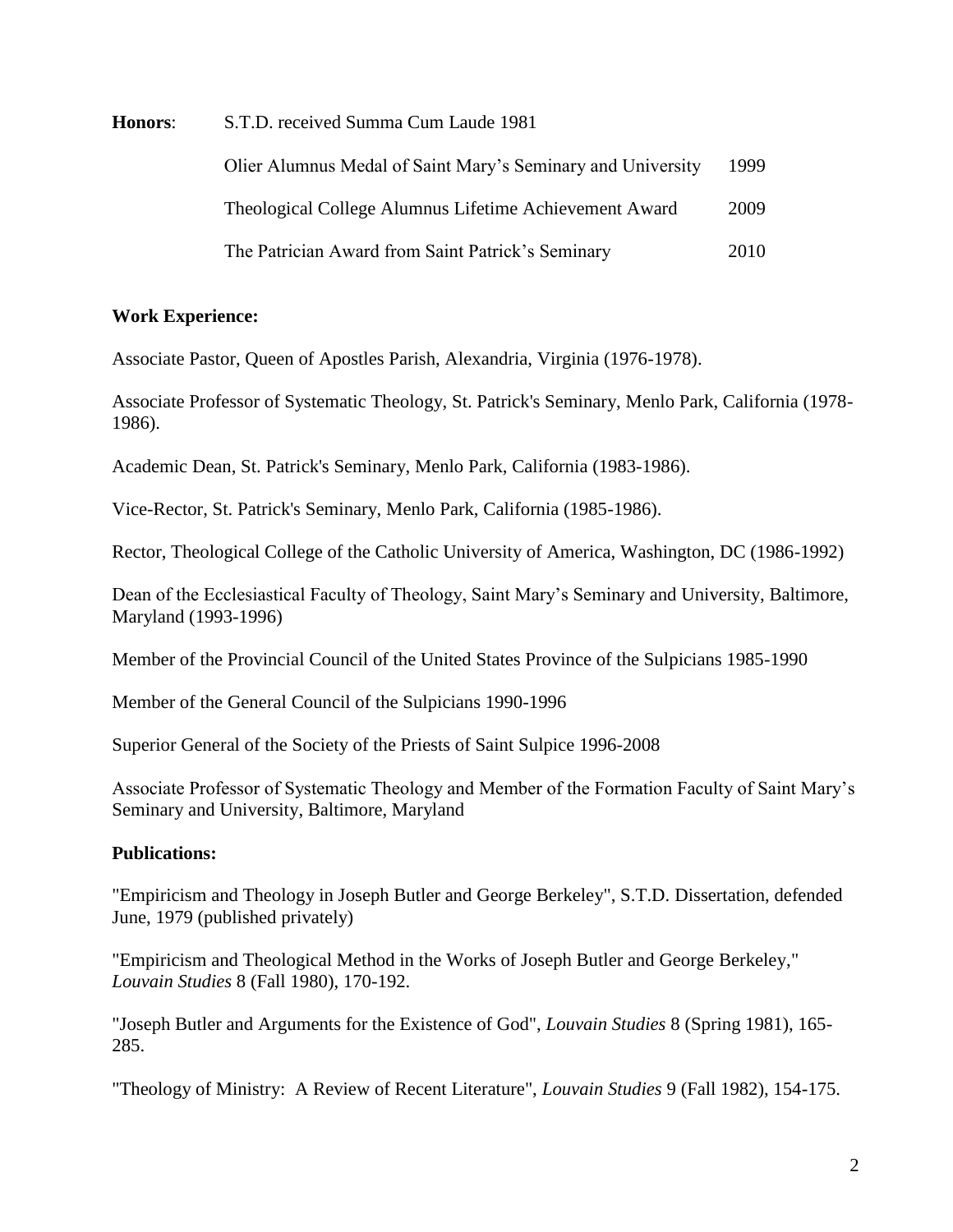**Honors**: S.T.D. received Summa Cum Laude 1981

| Olier Alumnus Medal of Saint Mary's Seminary and University | 1999 |
|-------------------------------------------------------------|------|
| Theological College Alumnus Lifetime Achievement Award      | 2009 |
| The Patrician Award from Saint Patrick's Seminary           | 2010 |

## **Work Experience:**

Associate Pastor, Queen of Apostles Parish, Alexandria, Virginia (1976-1978).

Associate Professor of Systematic Theology, St. Patrick's Seminary, Menlo Park, California (1978- 1986).

Academic Dean, St. Patrick's Seminary, Menlo Park, California (1983-1986).

Vice-Rector, St. Patrick's Seminary, Menlo Park, California (1985-1986).

Rector, Theological College of the Catholic University of America, Washington, DC (1986-1992)

Dean of the Ecclesiastical Faculty of Theology, Saint Mary's Seminary and University, Baltimore, Maryland (1993-1996)

Member of the Provincial Council of the United States Province of the Sulpicians 1985-1990

Member of the General Council of the Sulpicians 1990-1996

Superior General of the Society of the Priests of Saint Sulpice 1996-2008

Associate Professor of Systematic Theology and Member of the Formation Faculty of Saint Mary's Seminary and University, Baltimore, Maryland

# **Publications:**

"Empiricism and Theology in Joseph Butler and George Berkeley", S.T.D. Dissertation, defended June, 1979 (published privately)

"Empiricism and Theological Method in the Works of Joseph Butler and George Berkeley," *Louvain Studies* 8 (Fall 1980), 170-192.

"Joseph Butler and Arguments for the Existence of God", *Louvain Studies* 8 (Spring 1981), 165- 285.

"Theology of Ministry: A Review of Recent Literature", *Louvain Studies* 9 (Fall 1982), 154-175.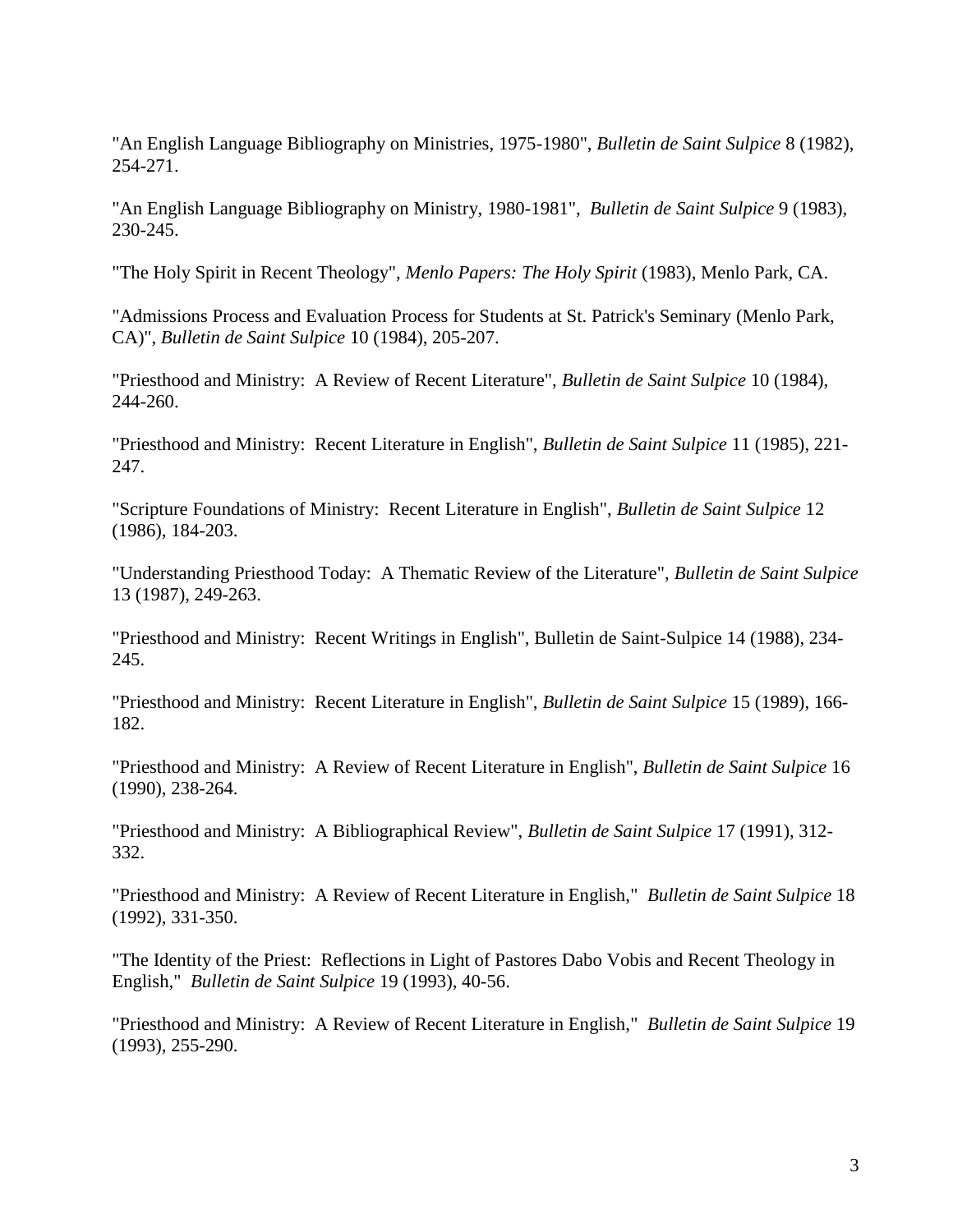"An English Language Bibliography on Ministries, 1975-1980", *Bulletin de Saint Sulpice* 8 (1982), 254-271.

"An English Language Bibliography on Ministry, 1980-1981", *Bulletin de Saint Sulpice* 9 (1983), 230-245.

"The Holy Spirit in Recent Theology", *Menlo Papers: The Holy Spirit* (1983), Menlo Park, CA.

"Admissions Process and Evaluation Process for Students at St. Patrick's Seminary (Menlo Park, CA)", *Bulletin de Saint Sulpice* 10 (1984), 205-207.

"Priesthood and Ministry: A Review of Recent Literature", *Bulletin de Saint Sulpice* 10 (1984), 244-260.

"Priesthood and Ministry: Recent Literature in English", *Bulletin de Saint Sulpice* 11 (1985), 221- 247.

"Scripture Foundations of Ministry: Recent Literature in English", *Bulletin de Saint Sulpice* 12 (1986), 184-203.

"Understanding Priesthood Today: A Thematic Review of the Literature", *Bulletin de Saint Sulpice* 13 (1987), 249-263.

"Priesthood and Ministry: Recent Writings in English", Bulletin de Saint-Sulpice 14 (1988), 234- 245.

"Priesthood and Ministry: Recent Literature in English", *Bulletin de Saint Sulpice* 15 (1989), 166- 182.

"Priesthood and Ministry: A Review of Recent Literature in English", *Bulletin de Saint Sulpice* 16 (1990), 238-264.

"Priesthood and Ministry: A Bibliographical Review", *Bulletin de Saint Sulpice* 17 (1991), 312- 332.

"Priesthood and Ministry: A Review of Recent Literature in English," *Bulletin de Saint Sulpice* 18 (1992), 331-350.

"The Identity of the Priest: Reflections in Light of Pastores Dabo Vobis and Recent Theology in English," *Bulletin de Saint Sulpice* 19 (1993), 40-56.

"Priesthood and Ministry: A Review of Recent Literature in English," *Bulletin de Saint Sulpice* 19 (1993), 255-290.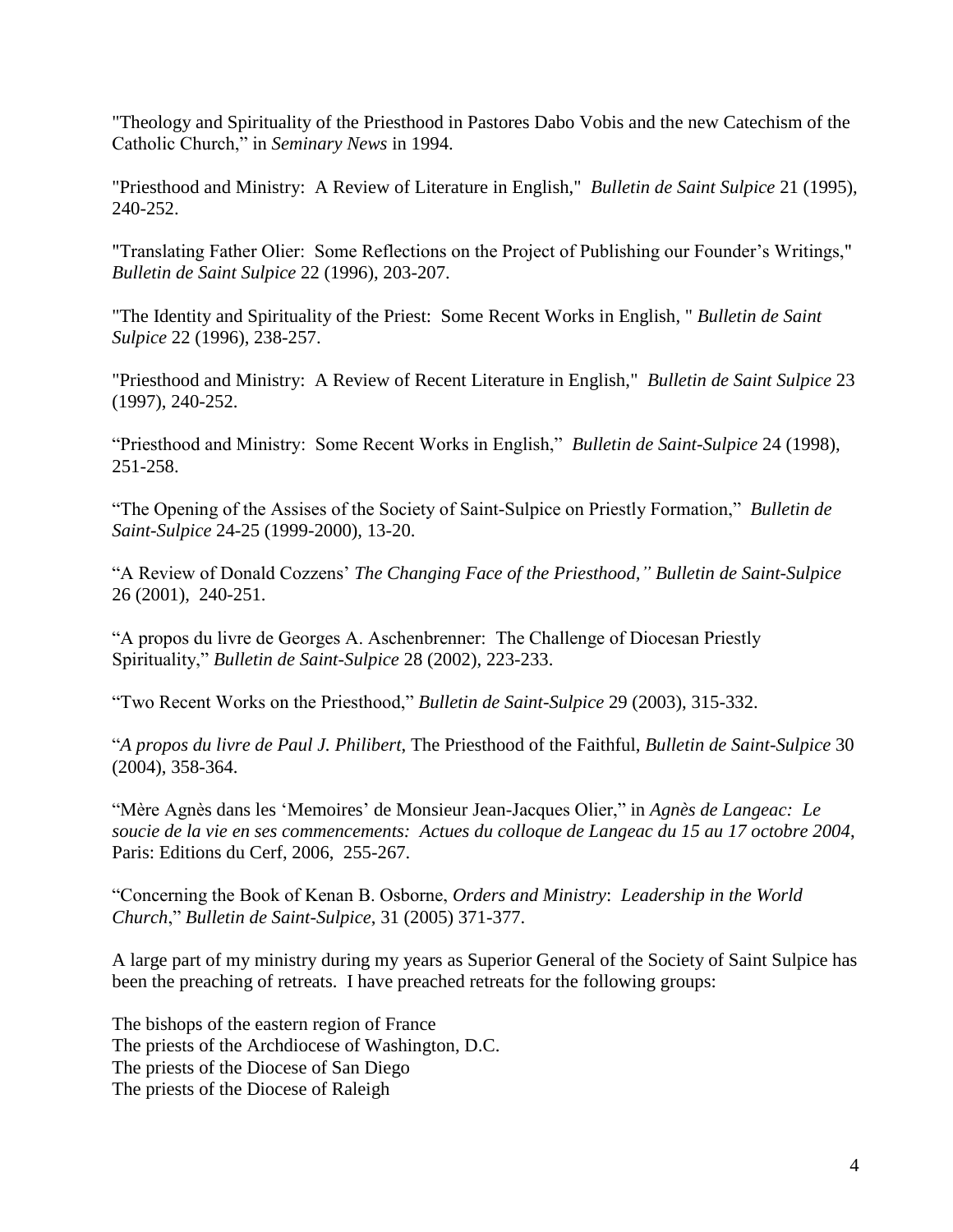"Theology and Spirituality of the Priesthood in Pastores Dabo Vobis and the new Catechism of the Catholic Church," in *Seminary News* in 1994.

"Priesthood and Ministry: A Review of Literature in English," *Bulletin de Saint Sulpice* 21 (1995), 240-252.

"Translating Father Olier: Some Reflections on the Project of Publishing our Founder's Writings," *Bulletin de Saint Sulpice* 22 (1996), 203-207.

"The Identity and Spirituality of the Priest: Some Recent Works in English, " *Bulletin de Saint Sulpice* 22 (1996), 238-257.

"Priesthood and Ministry: A Review of Recent Literature in English," *Bulletin de Saint Sulpice* 23 (1997), 240-252.

"Priesthood and Ministry: Some Recent Works in English," *Bulletin de Saint-Sulpice* 24 (1998), 251-258.

"The Opening of the Assises of the Society of Saint-Sulpice on Priestly Formation," *Bulletin de Saint-Sulpice* 24-25 (1999-2000), 13-20.

"A Review of Donald Cozzens' *The Changing Face of the Priesthood," Bulletin de Saint-Sulpice*  26 (2001), 240-251.

"A propos du livre de Georges A. Aschenbrenner: The Challenge of Diocesan Priestly Spirituality," *Bulletin de Saint-Sulpice* 28 (2002), 223-233.

"Two Recent Works on the Priesthood," *Bulletin de Saint-Sulpice* 29 (2003), 315-332.

"*A propos du livre de Paul J. Philibert*, The Priesthood of the Faithful, *Bulletin de Saint-Sulpice* 30 (2004), 358-364.

"Mère Agnès dans les 'Memoires' de Monsieur Jean-Jacques Olier," in *Agnès de Langeac: Le soucie de la vie en ses commencements: Actues du colloque de Langeac du 15 au 17 octobre 2004*, Paris: Editions du Cerf, 2006, 255-267.

"Concerning the Book of Kenan B. Osborne, *Orders and Ministry*: *Leadership in the World Church*," *Bulletin de Saint-Sulpice*, 31 (2005) 371-377.

A large part of my ministry during my years as Superior General of the Society of Saint Sulpice has been the preaching of retreats. I have preached retreats for the following groups:

The bishops of the eastern region of France The priests of the Archdiocese of Washington, D.C. The priests of the Diocese of San Diego The priests of the Diocese of Raleigh